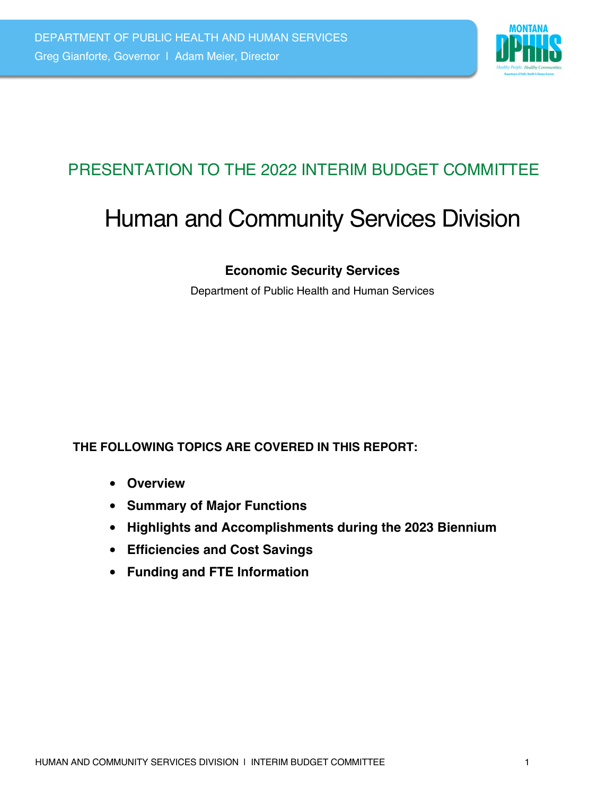

# PRESENTATION TO THE 2022 INTERIM BUDGET COMMITTEE

# Human and Community Services Division

## **Economic Security Services**

Department of Public Health and Human Services

#### **THE FOLLOWING TOPICS ARE COVERED IN THIS REPORT:**

- **Overview**
- **Summary of Major Functions**
- **Highlights and Accomplishments during the 2023 Biennium**
- **Efficiencies and Cost Savings**
- **Funding and FTE Information**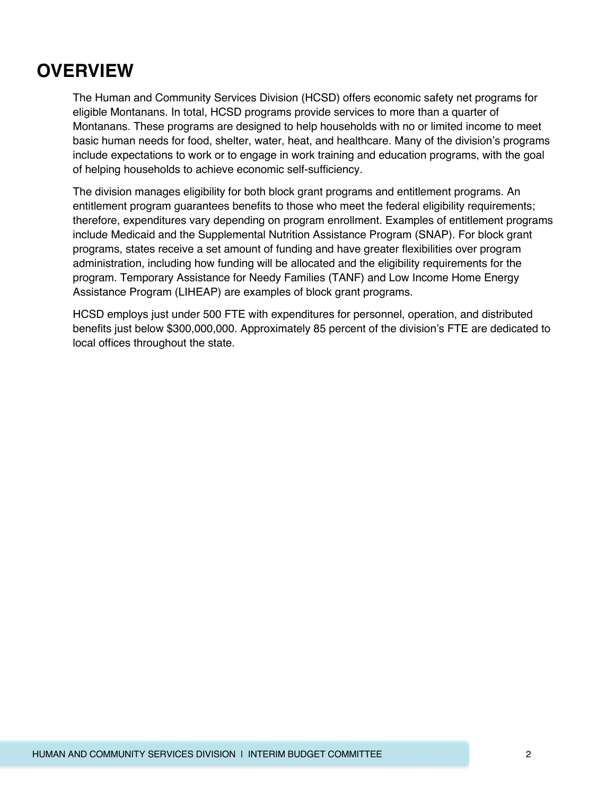# **OVERVIEW**

The Human and Community Services Division (HCSD) offers economic safety net programs for eligible Montanans. In total, HCSD programs provide services to more than a quarter of Montanans. These programs are designed to help households with no or limited income to meet basic human needs for food, shelter, water, heat, and healthcare. Many of the division's programs include expectations to work or to engage in work training and education programs, with the goal of helping households to achieve economic self-sufficiency.

The division manages eligibility for both block grant programs and entitlement programs. An entitlement program guarantees benefits to those who meet the federal eligibility requirements; therefore, expenditures vary depending on program enrollment. Examples of entitlement programs include Medicaid and the Supplemental Nutrition Assistance Program (SNAP). For block grant programs, states receive a set amount of funding and have greater flexibilities over program administration, including how funding will be allocated and the eligibility requirements for the program. Temporary Assistance for Needy Families (TANF) and Low Income Home Energy Assistance Program (LIHEAP) are examples of block grant programs.

HCSD employs just under 500 FTE with expenditures for personnel, operation, and distributed benefits just below \$300,000,000. Approximately 85 percent of the division's FTE are dedicated to local offices throughout the state.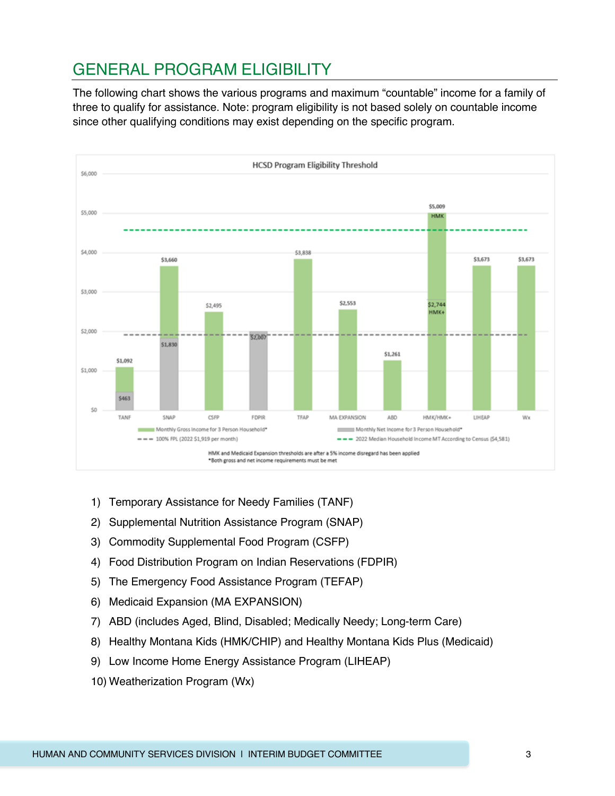# GENERAL PROGRAM ELIGIBILITY

The following chart shows the various programs and maximum "countable" income for a family of three to qualify for assistance. Note: program eligibility is not based solely on countable income since other qualifying conditions may exist depending on the specific program.



- 1) Temporary Assistance for Needy Families (TANF)
- 2) Supplemental Nutrition Assistance Program (SNAP)
- 3) Commodity Supplemental Food Program (CSFP)
- 4) Food Distribution Program on Indian Reservations (FDPIR)
- 5) The Emergency Food Assistance Program (TEFAP)
- 6) Medicaid Expansion (MA EXPANSION)
- 7) ABD (includes Aged, Blind, Disabled; Medically Needy; Long-term Care)
- 8) Healthy Montana Kids (HMK/CHIP) and Healthy Montana Kids Plus (Medicaid)
- 9) Low Income Home Energy Assistance Program (LIHEAP)
- 10) Weatherization Program (Wx)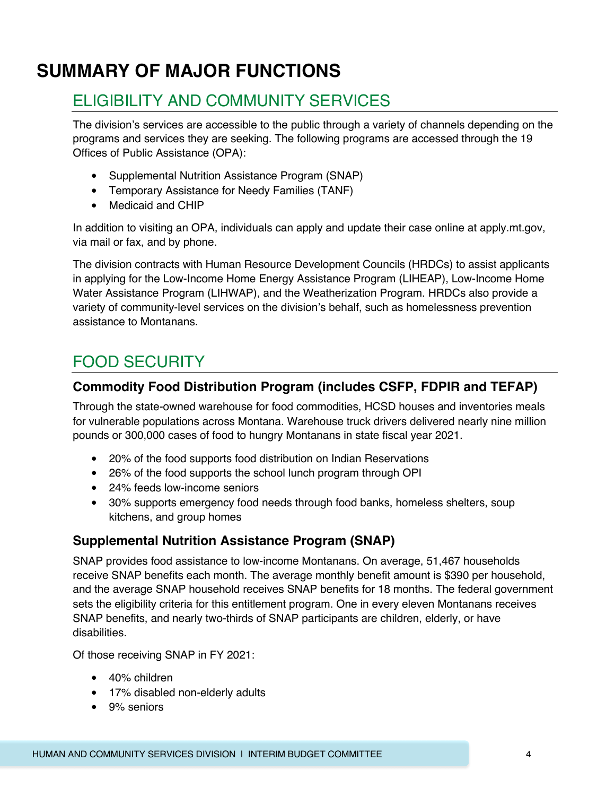# **SUMMARY OF MAJOR FUNCTIONS**

## ELIGIBILITY AND COMMUNITY SERVICES

The division's services are accessible to the public through a variety of channels depending on the programs and services they are seeking. The following programs are accessed through the 19 Offices of Public Assistance (OPA):

- Supplemental Nutrition Assistance Program (SNAP)
- Temporary Assistance for Needy Families (TANF)
- Medicaid and CHIP

In addition to visiting an OPA, individuals can apply and update their case online at apply.mt.gov, via mail or fax, and by phone.

The division contracts with Human Resource Development Councils (HRDCs) to assist applicants in applying for the Low-Income Home Energy Assistance Program (LIHEAP), Low-Income Home Water Assistance Program (LIHWAP), and the Weatherization Program. HRDCs also provide a variety of community-level services on the division's behalf, such as homelessness prevention assistance to Montanans.

## FOOD SECURITY

#### **Commodity Food Distribution Program (includes CSFP, FDPIR and TEFAP)**

Through the state-owned warehouse for food commodities, HCSD houses and inventories meals for vulnerable populations across Montana. Warehouse truck drivers delivered nearly nine million pounds or 300,000 cases of food to hungry Montanans in state fiscal year 2021.

- 20% of the food supports food distribution on Indian Reservations
- 26% of the food supports the school lunch program through OPI
- 24% feeds low-income seniors
- 30% supports emergency food needs through food banks, homeless shelters, soup kitchens, and group homes

#### **Supplemental Nutrition Assistance Program (SNAP)**

SNAP provides food assistance to low-income Montanans. On average, 51,467 households receive SNAP benefits each month. The average monthly benefit amount is \$390 per household, and the average SNAP household receives SNAP benefits for 18 months. The federal government sets the eligibility criteria for this entitlement program. One in every eleven Montanans receives SNAP benefits, and nearly two-thirds of SNAP participants are children, elderly, or have disabilities.

Of those receiving SNAP in FY 2021:

- 40% children
- 17% disabled non-elderly adults
- 9% seniors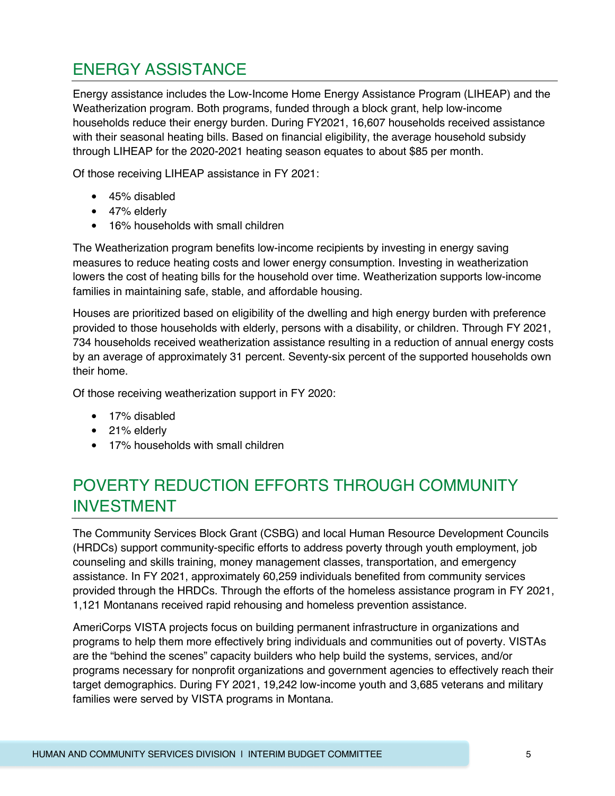# ENERGY ASSISTANCE

Energy assistance includes the Low-Income Home Energy Assistance Program (LIHEAP) and the Weatherization program. Both programs, funded through a block grant, help low-income households reduce their energy burden. During FY2021, 16,607 households received assistance with their seasonal heating bills. Based on financial eligibility, the average household subsidy through LIHEAP for the 2020-2021 heating season equates to about \$85 per month.

Of those receiving LIHEAP assistance in FY 2021:

- 45% disabled
- 47% elderly
- 16% households with small children

The Weatherization program benefits low-income recipients by investing in energy saving measures to reduce heating costs and lower energy consumption. Investing in weatherization lowers the cost of heating bills for the household over time. Weatherization supports low-income families in maintaining safe, stable, and affordable housing.

Houses are prioritized based on eligibility of the dwelling and high energy burden with preference provided to those households with elderly, persons with a disability, or children. Through FY 2021, 734 households received weatherization assistance resulting in a reduction of annual energy costs by an average of approximately 31 percent. Seventy-six percent of the supported households own their home.

Of those receiving weatherization support in FY 2020:

- 17% disabled
- 21% elderly
- 17% households with small children

# POVERTY REDUCTION EFFORTS THROUGH COMMUNITY INVESTMENT

The Community Services Block Grant (CSBG) and local Human Resource Development Councils (HRDCs) support community-specific efforts to address poverty through youth employment, job counseling and skills training, money management classes, transportation, and emergency assistance. In FY 2021, approximately 60,259 individuals benefited from community services provided through the HRDCs. Through the efforts of the homeless assistance program in FY 2021, 1,121 Montanans received rapid rehousing and homeless prevention assistance.

AmeriCorps VISTA projects focus on building permanent infrastructure in organizations and programs to help them more effectively bring individuals and communities out of poverty. VISTAs are the "behind the scenes" capacity builders who help build the systems, services, and/or programs necessary for nonprofit organizations and government agencies to effectively reach their target demographics. During FY 2021, 19,242 low-income youth and 3,685 veterans and military families were served by VISTA programs in Montana.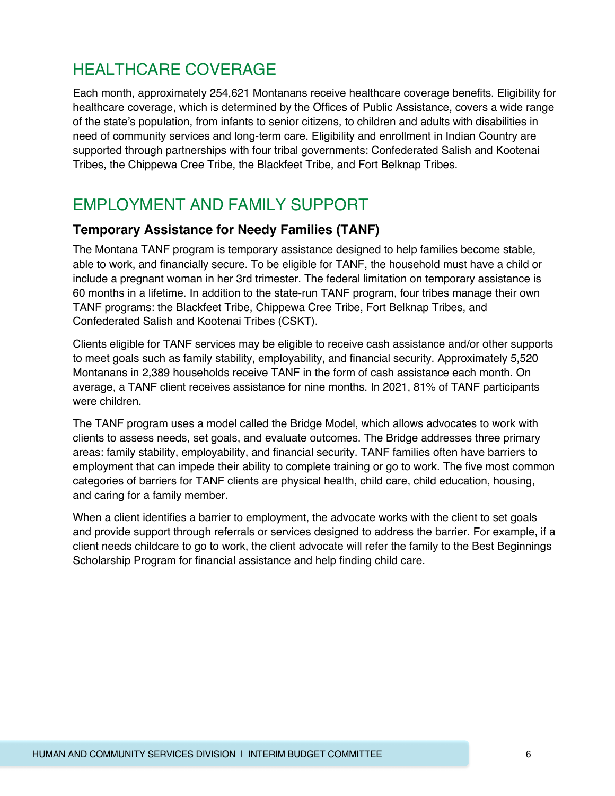## HEALTHCARE COVERAGE

Each month, approximately 254,621 Montanans receive healthcare coverage benefits. Eligibility for healthcare coverage, which is determined by the Offices of Public Assistance, covers a wide range of the state's population, from infants to senior citizens, to children and adults with disabilities in need of community services and long-term care. Eligibility and enrollment in Indian Country are supported through partnerships with four tribal governments: Confederated Salish and Kootenai Tribes, the Chippewa Cree Tribe, the Blackfeet Tribe, and Fort Belknap Tribes.

# EMPLOYMENT AND FAMILY SUPPORT

## **Temporary Assistance for Needy Families (TANF)**

The Montana TANF program is temporary assistance designed to help families become stable, able to work, and financially secure. To be eligible for TANF, the household must have a child or include a pregnant woman in her 3rd trimester. The federal limitation on temporary assistance is 60 months in a lifetime. In addition to the state-run TANF program, four tribes manage their own TANF programs: the Blackfeet Tribe, Chippewa Cree Tribe, Fort Belknap Tribes, and Confederated Salish and Kootenai Tribes (CSKT).

Clients eligible for TANF services may be eligible to receive cash assistance and/or other supports to meet goals such as family stability, employability, and financial security. Approximately 5,520 Montanans in 2,389 households receive TANF in the form of cash assistance each month. On average, a TANF client receives assistance for nine months. In 2021, 81% of TANF participants were children.

The TANF program uses a model called the Bridge Model, which allows advocates to work with clients to assess needs, set goals, and evaluate outcomes. The Bridge addresses three primary areas: family stability, employability, and financial security. TANF families often have barriers to employment that can impede their ability to complete training or go to work. The five most common categories of barriers for TANF clients are physical health, child care, child education, housing, and caring for a family member.

When a client identifies a barrier to employment, the advocate works with the client to set goals and provide support through referrals or services designed to address the barrier. For example, if a client needs childcare to go to work, the client advocate will refer the family to the Best Beginnings Scholarship Program for financial assistance and help finding child care.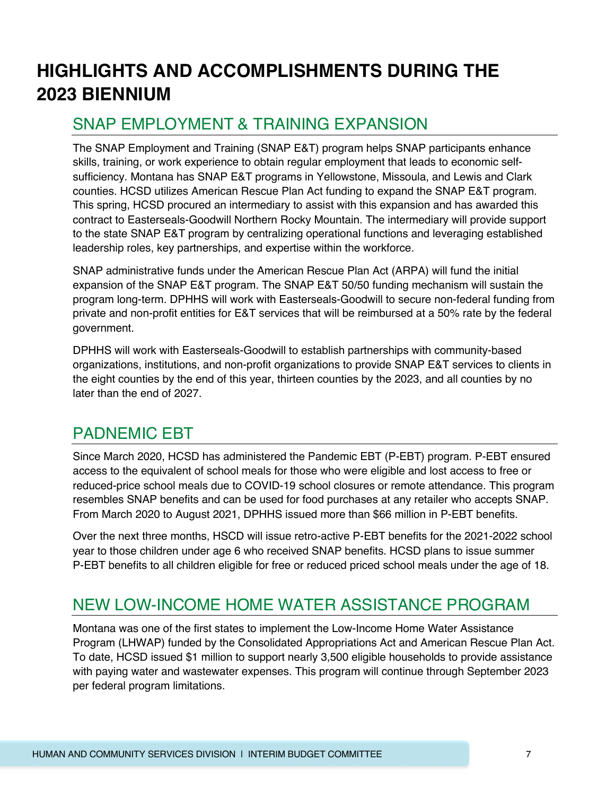# **HIGHLIGHTS AND ACCOMPLISHMENTS DURING THE 2023 BIENNIUM**

## SNAP EMPLOYMENT & TRAINING EXPANSION

The SNAP Employment and Training (SNAP E&T) program helps SNAP participants enhance skills, training, or work experience to obtain regular employment that leads to economic selfsufficiency. Montana has SNAP E&T programs in Yellowstone, Missoula, and Lewis and Clark counties. HCSD utilizes American Rescue Plan Act funding to expand the SNAP E&T program. This spring, HCSD procured an intermediary to assist with this expansion and has awarded this contract to Easterseals-Goodwill Northern Rocky Mountain. The intermediary will provide support to the state SNAP E&T program by centralizing operational functions and leveraging established leadership roles, key partnerships, and expertise within the workforce.

SNAP administrative funds under the American Rescue Plan Act (ARPA) will fund the initial expansion of the SNAP E&T program. The SNAP E&T 50/50 funding mechanism will sustain the program long-term. DPHHS will work with Easterseals-Goodwill to secure non-federal funding from private and non-profit entities for E&T services that will be reimbursed at a 50% rate by the federal government.

DPHHS will work with Easterseals-Goodwill to establish partnerships with community-based organizations, institutions, and non-profit organizations to provide SNAP E&T services to clients in the eight counties by the end of this year, thirteen counties by the 2023, and all counties by no later than the end of 2027.

## PADNEMIC EBT

Since March 2020, HCSD has administered the Pandemic EBT (P-EBT) program. P-EBT ensured access to the equivalent of school meals for those who were eligible and lost access to free or reduced-price school meals due to COVID-19 school closures or remote attendance. This program resembles SNAP benefits and can be used for food purchases at any retailer who accepts SNAP. From March 2020 to August 2021, DPHHS issued more than \$66 million in P-EBT benefits.

Over the next three months, HSCD will issue retro-active P-EBT benefits for the 2021-2022 school year to those children under age 6 who received SNAP benefits. HCSD plans to issue summer P-EBT benefits to all children eligible for free or reduced priced school meals under the age of 18.

# NEW LOW-INCOME HOME WATER ASSISTANCE PROGRAM

Montana was one of the first states to implement the Low-Income Home Water Assistance Program (LHWAP) funded by the Consolidated Appropriations Act and American Rescue Plan Act. To date, HCSD issued \$1 million to support nearly 3,500 eligible households to provide assistance with paying water and wastewater expenses. This program will continue through September 2023 per federal program limitations.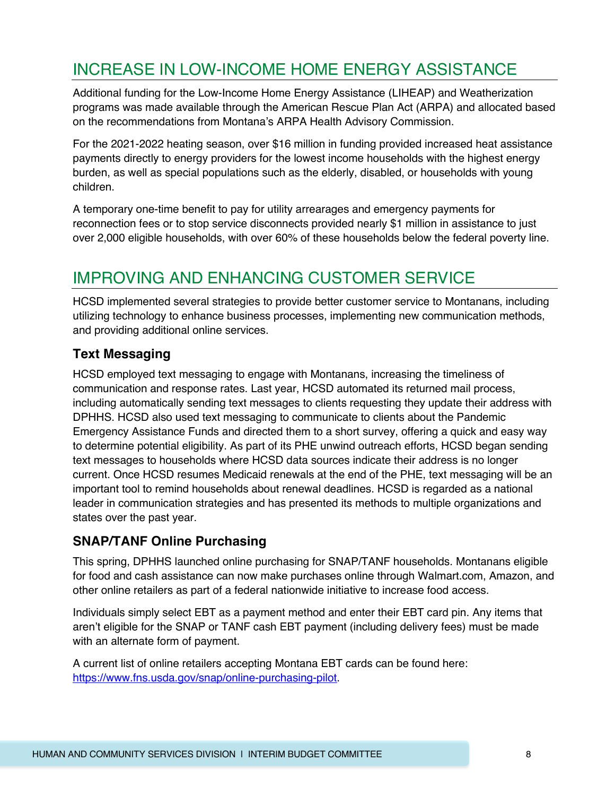# INCREASE IN LOW-INCOME HOME ENERGY ASSISTANCE

Additional funding for the Low-Income Home Energy Assistance (LIHEAP) and Weatherization programs was made available through the American Rescue Plan Act (ARPA) and allocated based on the recommendations from Montana's ARPA Health Advisory Commission.

For the 2021-2022 heating season, over \$16 million in funding provided increased heat assistance payments directly to energy providers for the lowest income households with the highest energy burden, as well as special populations such as the elderly, disabled, or households with young children.

A temporary one-time benefit to pay for utility arrearages and emergency payments for reconnection fees or to stop service disconnects provided nearly \$1 million in assistance to just over 2,000 eligible households, with over 60% of these households below the federal poverty line.

# IMPROVING AND ENHANCING CUSTOMER SERVICE

HCSD implemented several strategies to provide better customer service to Montanans, including utilizing technology to enhance business processes, implementing new communication methods, and providing additional online services.

#### **Text Messaging**

HCSD employed text messaging to engage with Montanans, increasing the timeliness of communication and response rates. Last year, HCSD automated its returned mail process, including automatically sending text messages to clients requesting they update their address with DPHHS. HCSD also used text messaging to communicate to clients about the Pandemic Emergency Assistance Funds and directed them to a short survey, offering a quick and easy way to determine potential eligibility. As part of its PHE unwind outreach efforts, HCSD began sending text messages to households where HCSD data sources indicate their address is no longer current. Once HCSD resumes Medicaid renewals at the end of the PHE, text messaging will be an important tool to remind households about renewal deadlines. HCSD is regarded as a national leader in communication strategies and has presented its methods to multiple organizations and states over the past year.

#### **SNAP/TANF Online Purchasing**

This spring, DPHHS launched online purchasing for SNAP/TANF households. Montanans eligible for food and cash assistance can now make purchases online through Walmart.com, Amazon, and other online retailers as part of a federal nationwide initiative to increase food access.

Individuals simply select EBT as a payment method and enter their EBT card pin. Any items that aren't eligible for the SNAP or TANF cash EBT payment (including delivery fees) must be made with an alternate form of payment.

A current list of online retailers accepting Montana EBT cards can be found here: https://www.fns.usda.gov/snap/online-purchasing-pilot.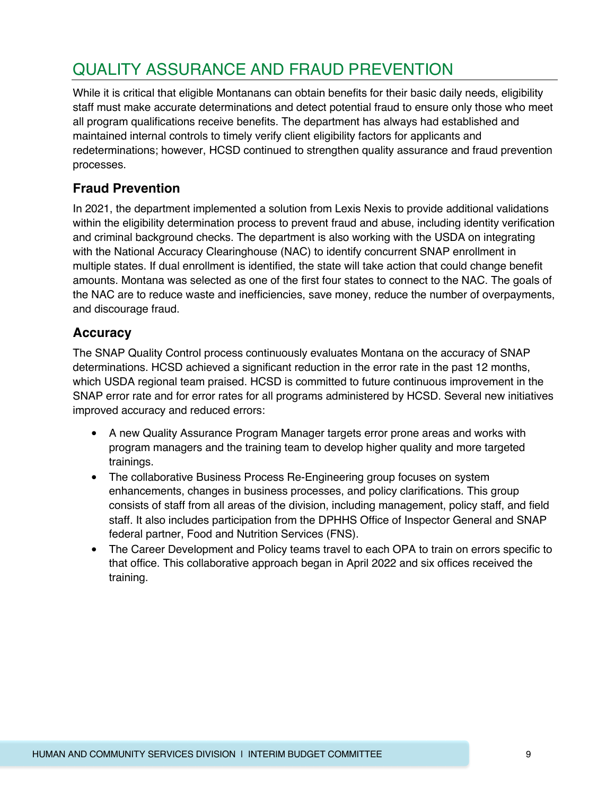# QUALITY ASSURANCE AND FRAUD PREVENTION

While it is critical that eligible Montanans can obtain benefits for their basic daily needs, eligibility staff must make accurate determinations and detect potential fraud to ensure only those who meet all program qualifications receive benefits. The department has always had established and maintained internal controls to timely verify client eligibility factors for applicants and redeterminations; however, HCSD continued to strengthen quality assurance and fraud prevention processes.

#### **Fraud Prevention**

In 2021, the department implemented a solution from Lexis Nexis to provide additional validations within the eligibility determination process to prevent fraud and abuse, including identity verification and criminal background checks. The department is also working with the USDA on integrating with the National Accuracy Clearinghouse (NAC) to identify concurrent SNAP enrollment in multiple states. If dual enrollment is identified, the state will take action that could change benefit amounts. Montana was selected as one of the first four states to connect to the NAC. The goals of the NAC are to reduce waste and inefficiencies, save money, reduce the number of overpayments, and discourage fraud.

#### **Accuracy**

The SNAP Quality Control process continuously evaluates Montana on the accuracy of SNAP determinations. HCSD achieved a significant reduction in the error rate in the past 12 months, which USDA regional team praised. HCSD is committed to future continuous improvement in the SNAP error rate and for error rates for all programs administered by HCSD. Several new initiatives improved accuracy and reduced errors:

- A new Quality Assurance Program Manager targets error prone areas and works with program managers and the training team to develop higher quality and more targeted trainings.
- The collaborative Business Process Re-Engineering group focuses on system enhancements, changes in business processes, and policy clarifications. This group consists of staff from all areas of the division, including management, policy staff, and field staff. It also includes participation from the DPHHS Office of Inspector General and SNAP federal partner, Food and Nutrition Services (FNS).
- The Career Development and Policy teams travel to each OPA to train on errors specific to that office. This collaborative approach began in April 2022 and six offices received the training.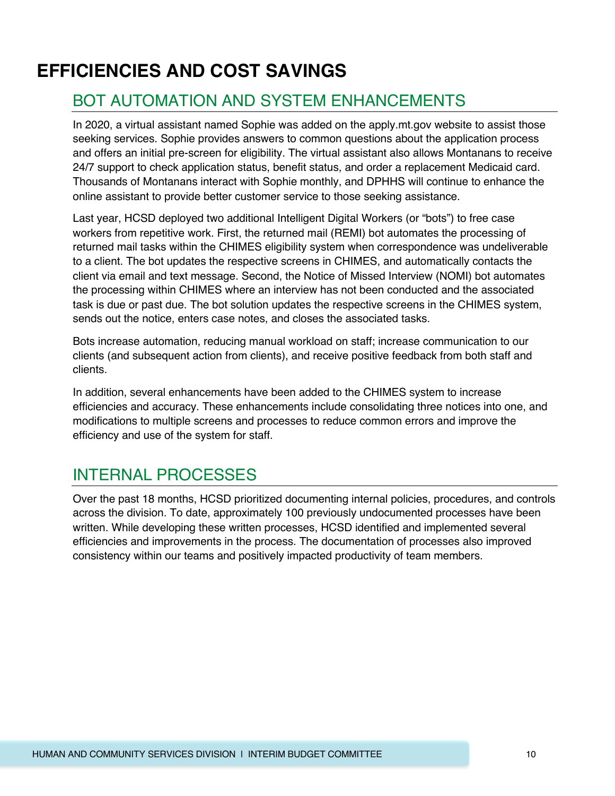# **EFFICIENCIES AND COST SAVINGS**

## BOT AUTOMATION AND SYSTEM ENHANCEMENTS

In 2020, a virtual assistant named Sophie was added on the apply.mt.gov website to assist those seeking services. Sophie provides answers to common questions about the application process and offers an initial pre-screen for eligibility. The virtual assistant also allows Montanans to receive 24/7 support to check application status, benefit status, and order a replacement Medicaid card. Thousands of Montanans interact with Sophie monthly, and DPHHS will continue to enhance the online assistant to provide better customer service to those seeking assistance.

Last year, HCSD deployed two additional Intelligent Digital Workers (or "bots") to free case workers from repetitive work. First, the returned mail (REMI) bot automates the processing of returned mail tasks within the CHIMES eligibility system when correspondence was undeliverable to a client. The bot updates the respective screens in CHIMES, and automatically contacts the client via email and text message. Second, the Notice of Missed Interview (NOMI) bot automates the processing within CHIMES where an interview has not been conducted and the associated task is due or past due. The bot solution updates the respective screens in the CHIMES system, sends out the notice, enters case notes, and closes the associated tasks.

Bots increase automation, reducing manual workload on staff; increase communication to our clients (and subsequent action from clients), and receive positive feedback from both staff and clients.

In addition, several enhancements have been added to the CHIMES system to increase efficiencies and accuracy. These enhancements include consolidating three notices into one, and modifications to multiple screens and processes to reduce common errors and improve the efficiency and use of the system for staff.

## INTERNAL PROCESSES

Over the past 18 months, HCSD prioritized documenting internal policies, procedures, and controls across the division. To date, approximately 100 previously undocumented processes have been written. While developing these written processes, HCSD identified and implemented several efficiencies and improvements in the process. The documentation of processes also improved consistency within our teams and positively impacted productivity of team members.